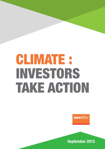# CLIMATE : Investors take action

novethic

September 2015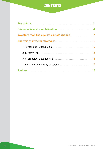## **CONTENTS**

| Key points <b>Example 2018</b> New York 2019 12:00:00 New York 2019 12:00:00 New York 2019 12:00:00 New York 2019 12:00:00 New York 2019 12:00:00 New York 2019 12:00:00 New York 2019 12:00:00 New York 2019 12:00:00 New York 201  | 3  |
|--------------------------------------------------------------------------------------------------------------------------------------------------------------------------------------------------------------------------------------|----|
| <b>Drivers of investor mobilisation</b>                                                                                                                                                                                              |    |
| Investors mobilise against climate change <b>Allen Constant Climate</b> - 7                                                                                                                                                          |    |
| <b>Analysis of investor strategies</b>                                                                                                                                                                                               |    |
|                                                                                                                                                                                                                                      |    |
|                                                                                                                                                                                                                                      | 12 |
| 3. Shareholder engagement <b>contract and the set of the set of the set of the set of the set of the set of the set of the set of the set of the set of the set of the set of the set of the set of the set of the set of the se</b> |    |
|                                                                                                                                                                                                                                      |    |
| <b>Toolbox</b>                                                                                                                                                                                                                       |    |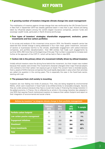

#### **n A growing number of investors integrate climate change into asset management**

The mobilisation of investors against climate change that was reinforced by the UN Climate Summit in New York in September 2014 has steadily gathered steam in less than a year. Actions are being taken by influential players among the world's largest insurance companies, pension funds and sovereign wealth funds, particularly in North America and Europe.

#### **Four types of investors' strategies: shareholder engagement, exclusion, green investments and low carbon portfolios**

In its survey and analysis of this movement since autumn 2014, the Novethic research centre has observed that climate change is being addressed in four main ways: green investment, exclusion of sectors or businesses harmful to the climate, shareholder engagement with carbon-intensive companies, and portfolio decarbonisation. Over 800 entities had made such engagements by summer 2015, 250 more than at the beginning of the year. That number is expected to increase even further at the approach of the COP 21, which will be held in Paris in late 2015.

#### ■ Carbon risk is the primary driver of a movement initially driven by ethical investors

Initially ethical investors were the driving force behind the movement, but their impact was modest because their assets were limited. The movement's character changed when major financial players who wished to limit their carbon risk exposure got on board. The concern here is stranded assets, that is, assets of GHG-intensive companies that could rapidly depreciate in value when their activities are called into question in the coming years. This is especially the case in the fossil-fuels sector, starting with coal.

#### **n** The pressure from civil society is mounting

Investors are now feeling two kinds of pressure. First, they are being targeted by environmental NGOs, which want investment in fossil fuels to be shifted entirely to renewable energies. Second, they are under pressure because they have a crucial role to play in financing the energy transition in the global economy. In France, this is reflected by an article in the energy transition law adopted in July 2015 that requires French institutional investors to measure their carbon footprint and report on their integration of environmental and social criteria.

| Actions by investors* to integrate climate change in their portfolio management. |                         |                    |                     |          |  |
|----------------------------------------------------------------------------------|-------------------------|--------------------|---------------------|----------|--|
|                                                                                  | <b>February</b><br>2015 | <b>May</b><br>2015 | <b>July</b><br>2015 | % sample |  |
| <b>Portfolio carbon footprint</b>                                                | 56                      | 77                 | 94                  | 12%      |  |
| Low carbon passive management                                                    | 5                       | 8                  | 10                  | 1%       |  |
| <b>Engagement initiatives</b>                                                    | 182                     | 250                | 291                 | 36%      |  |
| <b>Divestment</b>                                                                | 194                     | 243                | 364                 | 45%      |  |
| <b>Green investments</b>                                                         | 266                     | 304                | 336                 | 42%      |  |
| <b>Total</b>                                                                     | 550                     | 710                | 806                 |          |  |

#### Source : Novethic 2015

\*Investors may combine several strategies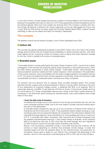#### Drivers of investor **MOBILISATION**

In just a few months, climate change has become a subject of intense debate in the financial sector because limiting global warming to a maximum of 2°C has progressively entered the global economic and political agenda. More and more studies are showing that if the increase is greater than this, the climate will become a systemic risk whose magnitude no one can really gauge yet. This is why in April 2015 the G20 finance ministers asked the Financial Stability Board (FSB), a global financial watchdog, to take up the subject and report its findings in September.

#### **The concepts**

The debates revolve around several concepts, most of them developed since 2010.

#### ■ Carbon risk

This concept has gained widespread acceptance since 2014. Carbon risk is the notion that climate change poses financial risks by threatening the profitability of carbon-intensive sectors, with fossil fuels topping the list. A growing number of investors want to adjust their asset allocation strategy for this risk, which is related to the notion of stranded assets.

#### **n** Stranded assets

"Unburnable Carbon", a study published by the Carbon Tracker Initiative in 2011, was the first in-depth investigation of the financial risk posed by publicly listed companies in the fossil-fuels sector, which are often heavily represented in stock market indexes. "Unburnable Carbon" demonstrated that these companies' business models and their market valuations, which are based on the exploitation of their proven reserves, were incompatible with the carbon budget available to limit global warming to 2°C. The report concluded that future climate regulations would likely render this business model unsustainable and result in substantial asset write-downs at these companies.

The question has thus become how to evaluate these so-called stranded assets. This concept acquired scientific support with an article published in Nature in January 2015. Drawing on the work of two researchers at University College London, it explained that 35% of oil reserves, 52% of natural gas reserves, and 88% of coal reserves will have to remain in the ground if global warming is to be limited to 2°C. These unexploitable reserves are a threat to the future market valuations of companies in the fossil-fuels sector because as stranded assets, they could suddenly lose a large share of their value.

#### **• Coal, the** *bête noire* **of investors**

 Considered the energy source most harmful to the climate and therefore the one with the most vulnerable business model, coal is the main target of studies warning investors about the risks of stranded assets.

 A Stranded Assets Programme was set up at the University of Oxford's Smith School of Enterprise and the Environment in 2012. It has published several studies focusing on coal, including a recent one surveying the highest-risk companies in the coal industry. Based on the International Energy Agency's recommendations for limiting global warming to a maximum of 2°C, it concludes that Indian companies, older Soviet-era and Chinese companies have the greatest stranded-assets exposure. It also looked closely at Australia, which produces 56% of its electricity with coal, or 16% more than the world average. Any new regulations on GHG emissions would thus strongly impact Australia's coal industry.

 Mercer, a UK consultancy, published a study in June 2015 showing that investors will be winners or losers depending on whether they anticipate climate change. It notes that stranded assets will have the greatest effect on the industrial sector and particularly on companies whose value is based on coal. Mercer thus concludes that depending on the scenario, returns in the coal sector could decrease by 18% to 74% over the next 35 years.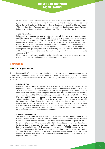#### Drivers of investor **MOBILISATION**

 In the United States, President Obama has coal in his sights. The Clean Power Plan he presented in early August calls for the closing of one third of the country's coal-fired power plants. In March 2015, the NGO Carbon Tracker Initiative had already published a report, "The U.S. Coal Crash: Evidence for Structural Change", highlighting the collapse of the coal industry, whose benchmark index has plummeted 75% in the last five years.

#### • **Gas, next in line**

 Following the aggressive campaigns against coal and oil, the next energy source targeted could be natural gas, despite industry lobbyists' efforts to present it as the indispensable fuel for the energy transition. The UK-based NGO Carbon Tracker Initiative contends that natural gas is also at risk of becoming a stranded asset and that large-scale gas projects could prove much too costly to be profitable. It has published a study warning investors of the risks looming in the 2025–2035 period. It predicts that three quarters of the projects that the largest oil and gas companies plan to carry out by 2025, at a cost of \$283 billion, would not be viable because demand would likely increase only by 10% in a scenario limiting global warming to 2°C.

 Natural gas is a relatively new subject for investors, however, and few of them have yet to make engagements regarding their asset allocations in this sector.

#### **Campaigns**

#### **n** NGOs target investors

The environmental NGOs are directly targeting investors to get them to change their strategies by taking their assets out of fossil fuels and using them to finance the development of renewables. They are urging investors to divest and to take action through shareholder engagement, particularly in the oil sector.

#### **• Go Fossil Free**

 Go Fossil Free, a movement backed by the NGO 350.org, is active to varying degrees depending on the country. It organised the first Global Divestment Day on 13 and 14 February 2015. The movement coordinates actions by civil society, particularly at American and UK universities and increasingly at European ones as well, to persuade these institutions to divest from the world's 200 most polluting companies on the list compiled by the NGO. More than 680 Go Fossil Free campaigns have been aimed at institutions around the world, with universities the target in 480 of them. Not all have yielded to the pressure, but Novethic has counted about forty of them that have committed to reviewing their investment policies. For example, Warwick University, in the UK, announced on 8 July 2015 that it would invest £14 million (€19 million) of its endowment in funds that exclude fossil fuels. The movement is starting to gather steam in Europe, Australia and Canada, but most of the universities that have made divestment commitments are American.

#### • **Keep It in the Ground**

 The British media group The Guardian is supported by 350.org in this campaign. Keep It in the Ground is aimed more specifically at the world's two largest foundations, the Bill & Melinda Gates Foundation and the Wellcome Trust, which have endowments, respectively, of \$43 billion and \$18 billion (€39 billion and €16 billion). This initiative criticizes the foundations for the contradiction between their public health objectives and their investment policies: both have shareholdings in GHG-intensive companies. Over 226,000 people have signed The Guardian's petition. Bill Gates has refused to divest from fossil fuels, but has promised to invest \$2 billion (€1.8 billion) in renewable energies and in research to combat global warming. The Wellcome Trusts says it prefers to act through shareholder engagement with high-emissions companies.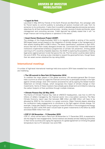#### Drivers of investor **MOBILISATION**

#### • *L'appel de Paris*

 Launched in May 2015 by Friends of the Earth (France) and BankTrack, this campaign calls for French banks to commit publicly to excluding all sectors involved with coal, from its extraction to its combustion. It asks them to publish a detailed agenda and precise exclusion objectives for all their businesses and services – lending, issuing of stocks and bonds, asset management and consulting services. Crédit Agricole has already stated that it will "no longer finance coal mining projects or operators in this sector".

#### • **Asset Owner Disclosure Project (AODP)**

 The strategy of this Anglo-Australian NGO is to regularly publish a ranking of the world's 500 largest asset owners based on the integration of climate change in the management of their assets (totalling \$40 or €36.5 trillion). The latest classification, published in April 2015, shows that half of them totally disregard climate risk. Convinced that if these 500 financial institutions implemented ambitious programmes of climate risk prevention, limiting global warming to 2°C would be a feasible objective, the AODP is exploring the possibility of taking legal action against pension funds that ignore this risk. The first action could be taken before the end of 2015. This ranking is also intended to reward the good performers, though fewer than ten asset owners obtained the top rating (AAA).

#### **International meetings**

A number of high-level international meetings held since autumn 2014 have revealed how investors are mobilising.

#### **• The UN summit in New York (23 September 2014)**

 To mobilise the major players in the global economy, UN secretary-general Ban Ki-moon held a summit at which he urged the financial community to participate actively in the fight against climate change. Over 370 investors answered his call by signing the Global Investor Statement on Climate Change, which recognises the impact of climate change on their investments. Some of these investors have already gone ahead and committed to reducing the carbon footprint of their portfolios through multiple initiatives.

#### • **Climate Finance Day (22 May 2015)**

 The theme of Climate Finance Day, held at UNESCO headquarters, was how to shift the trillions of dollars managed by the financial sector into a low-carbon economy. The New Climate Economy report says that between \$89 trillion and \$93 trillion will have to be allocated by 2030 for the transition to a green economy. Major financial players attending the conference made engagements to contribute to the fight against climate change. For example, Caisse des Dépôts Group is going to invest €15 billion in the ecological and energy transition by 2017, while AXA said it would triple its green investments to €3 billion by 2020 and divest €500 million from coal.

#### **• COP 21 (30 November – 11 December 2015)**

 COP 21, which will be held in Paris from 30 November to 11 December 2015, is expected to set the stage for new engagements. Some investors are already actively lobbying authorities in their home countries and urging the signature of a global agreement on limiting the global temperature rise to 2°C between now and 2100.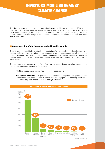## Investors mobilise against climate change

The Novethic research centre has been analysing investor mobilisation since autumn 2014. At end-July it had identified 806 investors on five continents, with more than €28,5 trillion in assets, who had made climate change commitments of one kind or another, ranging from the recognition of the financial impact of climate change to the implementation of concrete actions to measure and reduce carbon emissions.

#### **n** Characteristics of the investors in the Novethic sample

The 806 investors identified are not only the signatories of climate declarations but also those who adopted policies such as low carbon index management, shareholder engagement, divestment and green investment. They make up 73% of asset owners and 27% of asset managers. The analysis focuses primarily on the practices of asset owners, since they have the key role of mandating the investments.

The 586 asset owners who make up 73% of this sample can be divided into eight categories and their engagements into two types of strategies:

- **Ethical investors:** numerous (450), but with modest assets.
- **Long-term investors:** 136 pension funds, insurance companies and public financial institutions with very substantial assets that are engaged in pioneering initiatives to decarbonise portfolios and finance an ecological transition.



Source : Novethic 2015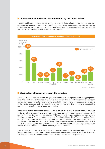#### **n** An international movement still dominated by the United States

Investor mobilisation against climate change is now an international movement, but one still dominated by American investors, who are more numerous and more highly endowed. It combines ethical investors such as religious institutions and foundations, large pension funds such as CalPERS and CalSTRS in California, as well as insurance companies.



#### **n** Mobilisation of European responsible investors

In Europe, investor involvement and the types of responsible investing break down along geographic lines. The countries with the most responsible investors are the ones where responsible investing is most developed. The British tend to prefer shareholder engagement, while responsible investors in the Nordic countries and the Netherlands are carrying on with their strong and longstanding commitment to the financing of green technologies.

France ranks sixth in the number of responsible investors, but third in terms of assets, with about €4 trillion. Climate engagements are thus being made mainly by large investors. Topping the list are the Fonds de Réserve pour les retraites (FRR) and the civil servant additional pension scheme Établissement de la Retraite Additionnelle de la Fonction Publique (ERAFP). In the spring, Caisse des Dépôts Group and the insurance group AXA took strong stands on the financing of the energy transition and the fight against climate change. Other investors are likely to join them, since Article 173 of France's Energy and Ecology Transition Act (TEE) creates for the first time a legal obligation for asset owners to calculate their carbon footprint, from 2017 onwards.

Even though North Sea oil is the source of Norway's wealth, its sovereign wealth fund (the Government Pension Fund Global, GPFG), the world's largest asset owner (€785 billion in assets), has adopted a climate change strategy under pressure from the country's parliament.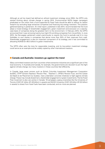Although an ad hoc board had defined an ethical investment strategy since 2004, the GPFG only started thinking about climate change in spring 2014. Environmental NGOs began campaigns predicated on the notion that a fund supported by fossil fuels should be able to reduce its carbon footprint by excluding large extractive companies and financing the energy transition. This position gathered backing in parliament. An initial report, published in late 2014, recommended that the fund adopt a mixed strategy of shareholder engagement, green investment and exclusion on a case-bycase basis of companies doing the greatest harm to the environment. In February 2015, the GPFG announced that it was removing twenty-two high-CO2-emitting companies from its portfolio. In June 2015, the Norwegian parliament voted unanimously to require the fund to exclude coal (it is now forbidden to own shares in companies that derive more than 30% of their revenues from coal). Shareholder engagement is also an important component of its strategy, and it has committed to allocating NOK50 bn (€5.5 billion) to green investments.

The GPFG often sets the tone for responsible investing, and its low-carbon investment strategy could serve as an example and be widely copied by other international investors.

#### **n** Canada and Australia: investors go against the trend

Many committed investors are from countries where extractive industries are a significant part of the local economy. In Australia and Canada, for example, the governments are reluctant to join the fight against climate change, but many investors in these countries feel differently.

In Canada, large asset owners such as British Columbia Investment Management Corporation (bcIMC), OTPP (Ontario Teachers' Pension Plan, "Teachers"), OPSEU Pension Trust, and the Caisse de Dépôt et de Placement du Quebec, have undertaken concrete initiatives to fight against climate change. These may include divestment, shareholder engagement or green investments. The Go Fossil Free movement is also very active in Canada: 19 campaigns urging universities like the University of Toronto (CAD1.81 billion (€1.49 billion) in assets) and McGill University (CAD1.45 billion (€1.02 billion) in assets) to divest from fossil fuels have been conducted, and six more are planned.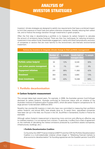### Analysis of investor strategies

Investors' climate strategies are designed to satisfy two requirements that have a combined impact: to limit their exposure to fossil fuels and carbon-intensive companies, thereby reducing their carbon risk; and to finance the energy transition through investments in green projects.

Often the first step in decarbonising a portfolio is to measure its carbon footprint to calculate the amount of emissions being financed. There are then four techniques for reducing emissions: investment in low-carbon funds; shareholder engagement, mainly with fossil fuel producers; exclusion of companies or sectors that are most harmful to the environment; and thematic environmental investment.

|                                   | <b>Number of</b><br>investors* | % sample | <b>Assets held or</b><br>managed (€bn) | % sample |
|-----------------------------------|--------------------------------|----------|----------------------------------------|----------|
| <b>Portfolio carbon footprint</b> | 94                             | 12%      | 8,548                                  | 30%      |
| Low carbon passive management     | 10                             | 1%       | 1.851                                  | 6%       |
| <b>Engagement initiatives</b>     | 291                            | 36%      | 11,882                                 | 42%      |
| <b>Divestment</b>                 | 364                            | 45%      | 3.665                                  | 13%      |
| <b>Green investments</b>          | 336                            | 42%      | 19.388                                 | 68%      |

#### **Actions by investors to integrate climate change in their portfolio management**

Source : Novethic 2015 \*Investors may combine several strategies

#### **1. Portfolio decarbonisation**

#### **n** Carbon footprint measurement

This concept dates back several years. For example, in 2008, the Australian pension fund VicSuper disclosed its carbon footprint. Australia confirmed its forerunner status with an initiative of the Australian Institute of Superannuation Trustees (AIST), which did carbon footprint comparisons for 15 large pension funds between 2009 and 2012.

Novethic has counted 94 investors in total who have now committed to measuring their portfolio's carbon footprint, and almost 60% have already done so. To assist them, specialised companies have been set up in this field, too (Trucost in the UK, SouthPole in Switzerland, EcoAct in France for example).

Although carbon footprint measurement is becoming more common and offering an effective way to mobilise investors, it is not exempt from criticism. In particular, it suffers from a lack of agreement on the methods of calculating the indirect emissions produced by a portfolio's assets (companies, infrastructures, buildings, etc.).

#### **• Portfolio Decarbonization Coalition**

 Co-found by the UNEP Finance Initiative (UNEP-Fi) and the CDP, the Portfolio Decarbonization Coalition is a multi-stakeholder initiative whose slogan is "Mobilizing financial markets to drive economic decarbonisation". Its founding signatories are the Swedish pension fund AP4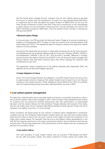and the French asset manager Amundi. Investors who join the Coalition agree to calculate the amount of assets they will decarbonise. The goal is to have decarbonised \$100 billion in investment and to have calculated the carbon footprint of \$500 billion by the time the Paris Climate Conference is held in late 2015. There are no restrictions on the methodology or asset classes, but the information concerning both must be disclosed. The total for the PDC's members at present is \$50 billion. There are several French members, including the FRR and the ERAFP.

#### **• Montreal Carbon Pledge**

 In the same vein, the PRI launched the Montreal Carbon Pledge at its annual conference in Quebec on 25 September 2014. The goal is to sign up investors with combined assets of \$3 trillion before the COP 21. The signatories agree to measure, disclose and reduce the carbon footprint of their portfolios.

 Among the first signatories are pioneers in responsible investing such as the French pension fund Etablissement de la Retraite Additionnelle de la Fonction Publique (ERAFP), PGGM in the Netherlands, CalPERS in the US, AP1, AP3 and AP4 in Sweden, Bâtirente in Canada, and the Environment Agency Pension Fund (EAPF) in the UK along with asset managers like France's Mirova. They have been joined by about fifty others, bringing the initiative's total membership to over sixty.

 The signatories' carbon footprints are to be publicly disclosed after September 2015, the deadline set by the Montreal Pledge's sponsors.

#### **• A legal obligation in France**

 Article 173 of the Energy Transition Act adopted in July 2015 makes France the first country to require asset owners to measure their carbon footprint and to report how much they are investing in the energy transition. These obligations will be effective from 2017 on condition that the implementing decrees have been published before the end of 2015.

#### **n** Low-carbon passive management

The idea that a relatively easy way to decrease indirect emissions in a portfolio would be to invest in the so-call low-carbon index funds emerged in 2014. Index providers have developed these indices for investors who are looking for financial performance near their benchmarks, no sector-based exclusion, and low carbon intensity for their portfolios. Though relatively well covered in the media, they are not widely used: the ten investors identified by Novethic (mainly pension funds) who do so represent only slightly more than 1% of the sample.

These innovations are being driven by the criticism of passive asset management's contribution to global warming. The UK-based Carbon Tracker Initiative takes the view that stock market indices epitomise the notion of carbon risk. As proof, it points to the weight of fossil fuel companies in the major stock market indices. For example, Total has one of the highest market capitalisations in the CAC 40. The massive investments in the major conventional indices in fact contribute to the financing of fossil fuels. The growing awareness of this phenomenon and the related risks are increasing the demand for low-carbon indices.

#### **• Low-carbon indices**

 The main providers of stock market indices such as Euronext, FTSE-Russell and MSCI all now offer low-carbon indices. The carbon footprints of these indices are smaller than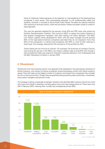those of traditional indices because of the selection or overweighting of the least-polluting companies in each sector. Their sector-based allocation is not fundamentally called into question, however, in contrast to the ex Fossil Fuels indices. The latter are used by investors who practice an exclusion policy, while the low-carbon indices are better suited to a best-inclass approach.

 This was the approach adopted by the pension funds AP4 and FRR when they joined the Portfolio Decarbonization Coalition. They turned to MSCI to reduce the carbon footprint of their passive management mandates, with each making a  $\epsilon$ 1 billion allocation. The MSCI Low Carbon Leaders series developed for them with the asset manager Amundi exclude 20% of the high-carbon-intensive companies (provided they do not represent more than 30% of the companies in a sector) and companies with 50% or more of their reserves in fossil fuels. This strategy reduced the CO2 emissions of the portfolio by 45%.

 These indices are not immune to criticism. For example, the American oil company Chevron was among the top ten in the MSCI Low Carbon Leaders index at end-2014 even though it had received the Public Eye award for shameful corporate behaviour from Greenpeace and the Bern Declaration at Davos in January 2015.

#### **2. Divestment**

Divestment from the extractive sector is an approach that originated in the exclusionary practices of ethical investors, who refuse to finance companies whose businesses conflict with these investors' values. They still make up the largest number of investors who divest from companies they consider harmful to the environment, though they are gradually being joined by public authorities, universities, some asset managers and pension funds.

This strategy is being increasingly employed. Novethic has identified 364 investors around the world who have committed to divesting, including about sixty who have already done so. There were only 194 in February 2015, meaning their number has increased by almost 90%.



Source : Novethic 2015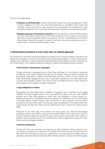There are two approaches:

- **Exclusion of all fossil fuels:** Novethic counts 84 investors who use this approach. Some of them adopted it on their own, like PensionDanmark or Australia's Future Super and UniSuper, while others did so under pressure from movements like Divest/Invest, which advocates divestment from fossil fuels and reallocation of assets to low-emissions sectors.
- **Targeted approach to fossil fuels exclusion:** Novethic identifies more than 250 investors who have committed to divesting from the 200 companies in the oil, gas and coal sectors deemed to have the greatest carbon-risk exposure. This list is published by the Go Fossil Free initiative. About forty investors, notably in the Nordic countries, exclude only coal or, in certain cases, oil sands and shale sands as well.

#### **n** Sector-based exclusion is now more than an ethical approach

The divestment movement has grown beyond the original core of ethical investors, spurred by the divestment campaigns of environmental NGOs and the growing perception of carbon financial risk, notably in the coal sector, where substantial asset devaluations have already occurred, particularly in the United States. This is leading traditional investors to adopt sector-based exclusion policies.

#### **• First success of divestment campaigns**

 Though divestment campaigns like Go Fossil Free and Keep It in the Ground, sponsored by 350.org, enjoy media visibility and help fuel the debate, they are chiefly successful at persuading universities to apply across-the-board exclusions. Many of their targets still prefer shareholder engagement as a way to persuade companies in the fossil-fuels sector to revise their business models. That was the case with Wellcome Trust, which refused to divest despite The Guardian's campaign targeting it.

#### **• Legal obligations to divest**

 Policymakers are also beginning to mobilise. A proposed law in California would oblige CalPERS, America's largest pension fund, and CalSTRS to divest from coal. The CalPERS portfolio has a fairly high exposure to fossil fuels, with holdings in Consol Energy Inc., Peabody Energy Corp., and Alliance Resources Partners LP. California's aim is to be a leader in the fight against climate change, and it would like to use its pension funds to set an example for the rest of the world. A similar law under consideration in the State of New York would require the New York State Common Retirement Fund to divest from fossil fuels by 2020.

 Politicians on the other side of the Atlantic are taking action, too. After the Norwegian parliament voted in June 2015 to require the sovereign wealth fund to divest from coal, the London Assembly asked the London Pensions Fund Authority (£4.8 billion (€6.7 billion) in assets) in July to exclude coal from its portfolio and to make a substantial contribution to the financing of an ecological transition.

#### **• Voluntary divestment**

 Though still fairly rare, investors are beginning to take initiatives without pressure from civil society or government authorities. For example, the French insurer AXA announced in May 2015 that it intended to reduce its investments in the coal industry by  $€500$  million by excluding companies that did more than 50% of their business in this sector. The Norwegian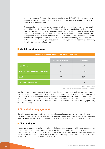insurance company KLP, which has more than €50 billion (NOK470 billion) in assets, is also fighting global warming by excluding coal from its portfolio, as is Australia's UniSuper (AUD50 billion (€34 billion) in assets).

 Divestment is generally seen as a response to a climate imperative, since a massive decline in fossil-fuel use will be necessary if global warming is to be kept below 2°C. This is the case with the Guardian Group, which no longer invests in fossil fuels, as well as the Australian pension fund Christian Super, and the American asset manager Green Century Capital Management. However, more and more investors are viewing divestment from fossil fuels primarily as a safeguard against carbon risk and a means of protecting their financial assets. In this way, they are fulfilling their fiduciary responsibility, an aim expressed in the ads run by the UK insurer Aviva in late July 2015.

#### **n** Most divested companies

| Breakdown of investors by type of fuel divestment |                             |            |  |  |  |  |
|---------------------------------------------------|-----------------------------|------------|--|--|--|--|
|                                                   | <b>Number of investors*</b> | $%$ sample |  |  |  |  |
| <b>Fossil fuels</b>                               | 84                          | 22%        |  |  |  |  |
| <b>The Top 200 Fossil Fuels Companies</b>         | 253                         | 65%        |  |  |  |  |
| <b>Coal</b>                                       | 38                          | 10%        |  |  |  |  |
| Oil sands or shale gas                            | 12                          | 3%         |  |  |  |  |

Source : Novethic 2015

\* Investors may combine several types of fuel divestment

Coal is not the only sector targeted, but it is today the most emblematic and the most controversial. Coal is the victim of two phenomena: the action of environmental NGOs, which condemn its harmfulness to the environment, and the steady decline in its financial value. The Dow Jones Total Market Coal Sector Index has lost 75% of its value in five years and fallen behind the world's major stock market indices. Novethic has counted 38 investors who are committed to divesting specifically from the coal sector.

#### **3. Shareholder engagement**

Not all investors are convinced that divestment is the right approach. Many believe that to change the situation and compel the most carbon-intensive companies, starting with those in the fossil-fuels sector, to improve the prevailing business model, it is better to use their rights as shareholders.

#### **n** Direct dialogue

Investors may engage in a dialogue privately, individually or collectively with the management of targeted companies to express their climate-related concerns and ask them to take steps to reduce their impact. By informing companies of their expectations, such an approach can yield significant results, especially when the investors have a substantial equity interest. This is the approach taken by the Caisse des Dépôts in France, for example.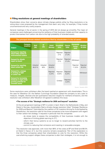#### **n** Filing resolutions at general meetings of shareholders

Shareholders show their concerns about climate change publicly either by filing resolutions or by voting down ones proposed by the management that seem very risky: for example, if they involve unconventional and very costly projects.

General meetings in the oil sector in the spring of 2015 did not always go smoothly. The major oil companies were challenged concerning the resiliency of their business models and their capacity to protect themselves from carbon risk due to the high probability of stranded assets.

| The principal climate-related resolutions filed by shareholders in the oil sector                     |                      |                   |                            |                            |                         |                                             |                              |
|-------------------------------------------------------------------------------------------------------|----------------------|-------------------|----------------------------|----------------------------|-------------------------|---------------------------------------------|------------------------------|
| <b>Company</b><br>(country)<br><b>Subject</b>                                                         | <b>Shell</b><br>(UK) | <b>BP</b><br>(UK) | <b>Statoil</b><br>(Norway) | <b>ExxonMobil</b><br>(USA) | <b>Chevron</b><br>(USA) | <b>Chesapeake</b><br><b>Energy</b><br>(USA) | <b>Marathon</b><br>Oil (USA) |
| <b>Demand for reporting</b><br>about lobby related to<br>environmental matters                        |                      |                   |                            | Rejected<br>21%            | Rejected<br>27,9%       |                                             |                              |
| <b>Demand for climate</b><br>expert on board                                                          |                      |                   |                            | Rejected<br>21%            | Rejected<br>27,9%       | Withdrawn                                   |                              |
| <b>Demand for reporting</b><br>about carbon risk                                                      | Adopted<br>98,91%    | Adopted<br>98%    | Adopted<br>99,95%          |                            |                         | Rejected<br>11,50%                          | Rejected<br>36,30%           |
| Demand for a change<br>in strategy in light<br>of carbon risk                                         |                      |                   | Rejected<br>0,24%          | Rejected<br>9,60%          | Rejected<br>8,20%       |                                             | Withdrawn                    |
| <b>Demand for increasing</b><br>dividends in light of the<br>growing potential for<br>stranded assets |                      |                   |                            | Omitted                    | Rejected<br>3,20%       |                                             |                              |

Source : Novethic 2015

Some resolutions were withdrawn after the board reached an agreement with shareholders. This is the case for Marathon Oil: the Nathan Cummings Foundation asked the company to set a plan to measure, mitigate, disclose and set quantitative reduction targets for methane emissions, and the resolution was withdrawn after Marathon Oil agreed to address this issue.

#### **• The success of the "Strategic resilience for 2035 and beyond" resolution**

 At the annual general meetings of BP in London in April, Shell in the Netherlands in May, and Statoil in Norway, shareholders filed a climate change resolution titled "Strategic Resilience for 2035 and Beyond". Submitted by the coalition of UK investors Aiming for A and backed by ShareAction, the resolution calls for the three companies to be more transparent with regard to their carbon-risk strategy. It requests in particular that the companies:

- do stress tests to assess the compatibility of their business models with the objective of limiting global warming to 2°C;
- reform their bonus systems so as no longer to reward activities harmful to the climate; and
- commit to reducing their emissions and investing in renewable energies.

 This resolution was approved, with more than 98% of the votes at BP and Shell and 99.5% at Statoil in favour of it, but this outcome remains exceptional. Part of the explanation is that the three companies asked their shareholders to vote for the resolution. While this overwhelming support obliges these companies to alter their strategies, it is not enough to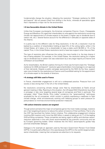fundamentally change the situation. Adopting the resolution "Strategic resilience for 2035 and beyond" did not prevent Shell from drilling in the Arctic, whereas all specialists agree that it represents a major risk for the environment.

#### **• A less favourable climate in the United States**

 Unlike their European counterparts, the American companies Chevron, Exxon, Chesapeake Energy and Marathon Oil urged their shareholders to vote against the resolutions concerning climate risk (appointment of climate experts to the board, a higher cap on dividends due to carbon risk, etc.). Several factors account for the difference in attitudes on opposite sides of the Atlantic.

 It is partly due to the different rules for filing resolutions. In the UK, a resolution must be backed by a coalition of shareholders holding at least 5% of the voting rights, while in the United States, all it takes is for a shareholder to have a stake worth \$2,000 or 1% of the capital. Thus, in the United States resolutions tend to have less support when they are filed.

 The type of resolution also influences the voting: the more hostile it is, the less chance it has of being adopted. For example, in the United States, the resolution asking for a higher cap on dividends due to carbon risk was voted down by a very large majority at Chevron and withdrawn at ExxonMobil.

 As for shareholders, the British coalition Aiming for A that was formed to back the "Strategic resilience for 2035 and beyond" resolution gave shareholders more leverage to win approval of their demands. Despite a public campaign sponsored by the NGO As You Sow, support was more limited for the resolutions at Chevron and ExxonMobil asking for the appointment of a climate expert to the boards of directors.

#### **• A strategy still little used in France**

 In France, shareholder engagement is still not a widespread practice. Pressure from civil society is less strong than in the UK or the United States.

 No resolutions concerning climate change were filed by shareholders at Total's annual general meeting in May. Reacting to this situation, the UK-based NGO ShareAction launched a campaign in late June targeting several large oil companies and Total in particular. This campaign, titled "Clean Words, Dirty Lobby", condemns the "greenwashing" techniques employed by the oil companies, which consist in publicly expressing a readiness to fight climate change, while simultaneously working with lobbying groups to exert pressure on policymakers to minimise environmental protection measures.

#### **• All carbon-intensive sectors are targeted**

 Though actions aimed at the major oil companies garner the most media coverage, investors are in fact targeting all sectors to reduce the carbon emissions of their portfolios. That is why the CDP has launched the Carbon Action initiative. This collaborative engagement initiative involving 304 investors with more than \$22 billion in assets is taking aim at 17 of the leading GHG-emitting companies. These companies are being urged to define and disclose carbonreduction objectives in line with those recommended by the scientific community and set by Europe's governing bodies. Other initiatives like the IIGCC sector-specific guides help promote shareholder dialogue.

 Dialogue is for example an approach used by Norway's Government Pension Fund Global (GPFG). It is particularly effective in this case because the GPFG is the world's largest privatesector shareholder, meaning that companies are attentive to its requests.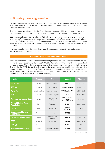#### **4. Financing the energy transition**

Limiting investors' carbon risk is one objective, but the main goal is to develop a low-carbon economy. The idea is to rechannel an increasing share of assets into green investments, starting with those divested from fossil fuels.

This is the approach advocated by the Divest/Invest movement, which, as its name indicates, wants to combine divestment from carbon-intensive companies with substantial green investments.

336 investors identified by Novethic, or 42% of the sample, have made or intend to make green investments. Their strategies are diverse, with investments ranging from renewable energy production or energy efficiency to green bonds. Sixty per cent of them have also adopted a divestment policy, signalling a genuine desire for combining both strategies to reduce the carbon footprint of their portfolios.

In recent months some investors have publicly announced substantial commitments, with the largest amounting to billions of euros.

#### **The largest green investments commitments**

Some actors made significant promises in terms of green investments. This is the case for example for the GPFG, which committed to invest NOK50 bn (€5.5 billion) in this sector. But this amount only represents about 1% of the total assets held by the biggest wealth sovereign fund of the world. This is why the WWF-Norway is calling on the Norwegian sovereign wealth fund to invest 5% of its portfolio in renewable energies. Other investors of more modest size have promised to invest a larger part of their funds, such as the Environment Agency Pension Fund (€3 billion) who committed to allocate 25% of its assets to low-carbon economy.

| <b>Investor</b>                                    | <b>Country</b> | <b>Amount</b><br><b>Type</b>    |                                                   | <b>Timeline</b> |
|----------------------------------------------------|----------------|---------------------------------|---------------------------------------------------|-----------------|
| <b>Allianz SE</b>                                  | Europe         | Insurance company               | €500 m                                            | In 2015         |
| <b>APG AM</b>                                      | Netherlands    | Asset manager                   | €2 bn every year                                  | $2016 - 2018$   |
| <b>Aviva Plc</b>                                   | United Kingdom | Insurance company               | £500 m every year<br>(E708 m)                     | 2015 - 2020     |
| Axa                                                | France         | Insurance company               | €3 bn                                             | $2015 - 2020$   |
| <b>European Investment Bank</b>                    | Europe         | Public financial<br>institution | 25% of lending<br>portfolio<br>(€19.1 bn in 2014) | Every year      |
| <b>Bill and Melinda Gates</b><br><b>Foundation</b> | <b>USA</b>     | Foundation                      | €1.8 bn                                           | $2015 - 2020$   |
| <b>CaISTRS</b>                                     | <b>USA</b>     | Pension fund                    | \$3.7 bn<br>(€3.34 bn)                            | 2019            |
| <b>Govermnment Pension</b><br><b>Fund Global</b>   | Norway         | Pension fund                    | NOK50 bn<br>$(65.5)$ bn)                          |                 |
| <b>Caisse des Dépôts Group</b>                     | France         | Public financial<br>institution | €15 bn                                            | 2014 - 2017     |
| <b>PFZW</b>                                        | Netherlands    | Pension fund                    | €16 bn                                            | $2015 - 2019$   |
| <b>PKA A/S</b>                                     | Denmark        | Pension fund                    | €1.5 bn                                           | In 2015         |
| <b>Zurich Insurance Group</b>                      | Swiss          | Insurance company               | €1.8 bn                                           | ln 2015         |

Source : Novethic 2015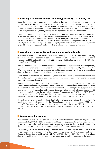#### **n** Investing in renewable energies and energy efficiency is a winning bet

Green investment mainly goes to the financing of low-carbon projects or renewable-energy infrastructures. 45 investors in this study said they had made investments in energy-saving technologies. This category includes real estate development, smart grid and energy-efficiency projects. Novethic has counted 91 investors who say they have taken stakes in renewable energies (wind, solar, biomass, etc.), notably through private equity or infrastructure investments.

While the instability of the fossil-fuels market is making this sector less and less attractive, renewables are on a roll. In 2013, investments in renewable energy infrastructures exceeded those in the fossil-fuels sector for the first time. Bloomberg New Energy Finance calculates that investments in wind, solar, hydro and biomass energies likely totalled \$187 billion, compared with \$157 billion in natural gas, oil and coal. Owing to the sector's rapid growth, installations are costing less, making renewables more competitive than fossil fuels and enhancing their appeal to investors.

#### **n** Green bonds: growing demand and a more structured market

Investment in these bonds issued to finance environmentally beneficial projects is another strategy to finance a low-carbon economy. Green bonds totalling \$36 billion were issued in 2014, a threefold increase over 2013, and the Climate Bonds Initiative reports that the figure was already \$19.31 billion for the first half of 2015.

Novethic identified over 110 investors who had decided to invest in green bonds. They are primarily large asset managers and pension funds. American asset owners like CalSTRS, Trillium and TIAA-CREF were among the first to buy green bonds, and the asset managers BlackRock and Mirova have also said they plan to increase their holdings in this market.

Green bond issuers are diverse. Until recently, they were mainly development banks like the World Bank and the European Investment Bank, but increasing numbers of local authorities and companies are now issuing green bonds, too.

Demand is growing rapidly in this market, and investors are now asking for safeguards. They want proof that these bonds actually benefit the environment. The publication of the Green Bonds Principles in January 2014 was a first step in structuring this market. These principles lay out guidelines for issuing such bonds. They are backed by most of the underwriting banks, the largest issuers, and 22 investors active in financing the low-carbon economy. Among them are CalSTRS and TIAA-CREF in the United States and Zurich Insurance Group, which announced publicly in July 2014 that its aim was to become the largest investor in green bonds by purchasing \$2 billion of them.

The enthusiasm for green bonds is reflected by the Investor Statement on Green Bonds and Climate Bonds (September 2014), sponsored by the Climate Bonds Initiative with the support of CERES and the IIGCC. The members of this group, who have combined assets in excess of \$2 trillion, commit to promoting the growth of this market. On the list of the 17 signatories are CalSTRS, AP1, AP2, AP3 and AP4.

#### **n** Denmark sets the example

Denmark can serve as a model, particularly when it comes to renewable energies. Its goal is to be carbon neutral by 2050. By 2035, all electricity and heat is to be produced with renewable energies. Since the energy sector has the highest emissions rate, it is a central focus of the Danish climate change programme, and investors are actively helping to finance the energy transition.

For example, two of the country's largest pension funds, ATP and PensionDanmark, have taken notable initiatives in this area. Together they have invested more than €1 billion in a wind farm in Denmark. Danske Capital and PKA A/S, with AuM of €100 billion and €27 billion, respectively, have also made significant green investments and are committed to making even more in the future.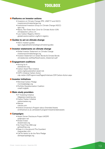

#### **n** Platforms on investor actions

- Investors on Climate Change (PRI, UNEP FI and IIGCC) investorsonclimatechange.org
- Institutional Investors Group on Climate Change (IIGCC) iigcc.org
- • Nazca, Non-State Actor Zone for Climate Action (UN) climateaction.unfccc.int
- Low Carbon Registry (IIGCC) globalinvestorcoalition.org/form-registry

#### **n** Guides to act on climate change

• IIGCC investor guides iigcc.org/publications/category/investor-guides

#### $\blacksquare$  Investor statements on climate change

- Global Investor Statement on Climate Change investorsonclimatechange.org
- Investor Statement on Green Bonds & Climate Bonds climatebonds.net/files/files/Investor\_Statement.pdf

#### **n** Engagement coalitions

- Aiming for A shareaction.org
- • Carbon Asset Risk Initiative
- ceres.org/issues/carbon-asset-risk
- CDP's Initiative Carbon Action cdp.net/en-US/Programmes/Pages/Initiatives-CDP-Carbon-Action.aspx

#### **n** Investor initiatives

- • Montreal Carbon Pledge montrealpledge.org
- • Portfolio Decarbonization Coalition unepfi.org/pdc

#### **n** Main study providers

- 2° Investing Initiative 2degrees-investing.org
- • Carbon Tracker Initiative
- carbontracker.org • Mercer
- mercer.com
- Oxford University's Program about Stranded Assets smithschool.ox.ac.uk/research-programmes/stranded-assets

#### **n** Campaigns

- • Asset Owner Disclosure Project (AODP) aodproject.net
- Divest Invest divestinvest.org
- • Go Fossil Free (350.org) gofossilfree.org
- • Keep it in the ground (The Guardian) theguardian.com
- Call for banks to do the Paris Pledge dotheparispledge.org